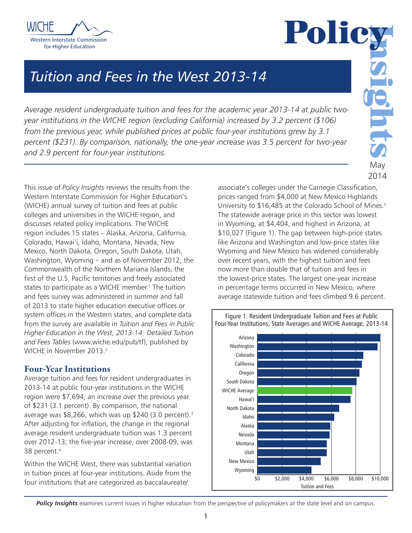



# *Tuition and Fees in the West 2013-14*

*Average resident undergraduate tuition and fees for the academic year 2013-14 at public twoyear institutions in the WICHE region (excluding California) increased by 3.2 percent (\$106) from the previous year, while published prices at public four-year institutions grew by 3.1 percent (\$231). By comparison, nationally, the one-year increase was 3.5 percent for two-year and 2.9 percent for four-year institutions.*

This issue of *Policy Insights* reviews the results from the Western Interstate Commission for Higher Education's (WICHE) annual survey of tuition and fees at public colleges and universities in the WICHE region, and discusses related policy implications. The WICHE region includes 15 states – Alaska, Arizona, California, Colorado, Hawai'i, Idaho, Montana, Nevada, New Mexico, North Dakota, Oregon, South Dakota, Utah, Washington, Wyoming – and as of November 2012, the Commonwealth of the Northern Mariana Islands, the first of the U.S. Pacific territories and freely associated states to participate as a WICHE member.<sup>1</sup> The tuition and fees survey was administered in summer and fall of 2013 to state higher education executive offices or system offices in the Western states, and complete data from the survey are available in *Tuition and Fees in Public Higher Education in the West, 2013-14: Detailed Tuition and Fees Tables* (www.wiche.edu/pub/tf), published by WICHE in November 2013<sup>2</sup>

# Four-Year Institutions

Average tuition and fees for resident undergraduates in 2013-14 at public four-year institutions in the WICHE region were \$7,694, an increase over the previous year of \$231 (3.1 percent). By comparison, the national average was \$8,266, which was up \$240 (3.0 percent).3 After adjusting for inflation, the change in the regional average resident undergraduate tuition was 1.3 percent over 2012-13; the five-year increase, over 2008-09, was 38 percent.4

Within the WICHE West, there was substantial variation in tuition prices at four-year institutions. Aside from the four institutions that are categorized as baccalaureate/

associate's colleges under the Carnegie Classification, prices ranged from \$4,000 at New Mexico Highlands University to \$16,485 at the Colorado School of Mines.<sup>5</sup> The statewide average price in this sector was lowest in Wyoming, at \$4,404, and highest in Arizona, at \$10,027 (Figure 1). The gap between high-price states like Arizona and Washington and low-price states like Wyoming and New Mexico has widened considerably over recent years, with the highest tuition and fees now more than double that of tuition and fees in the lowest-price states. The largest one-year increase in percentage terms occurred in New Mexico, where average statewide tuition and fees climbed 9.6 percent.



#### Figure 1. Resident Undergraduate Tuition and Fees at Public Four-Year Institutions, State Averages and WICHE Average, 2013-14

**Policy Insights** examines current issues in higher education from the perspective of policymakers at the state level and on campus.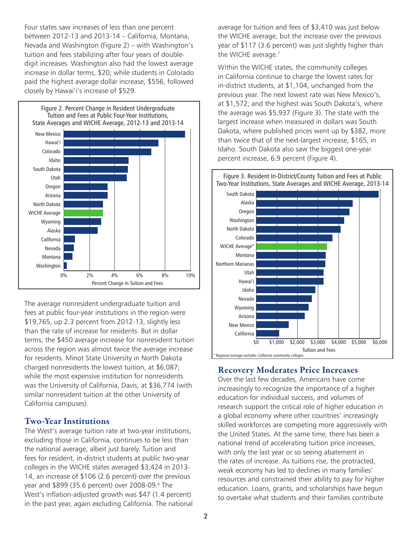Four states saw increases of less than one percent between 2012-13 and 2013-14 – California, Montana, Nevada and Washington (Figure 2) – with Washington's tuition and fees stabilizing after four years of doubledigit increases. Washington also had the lowest average increase in dollar terms, \$20; while students in Colorado paid the highest average dollar increase, \$556, followed closely by Hawai'i's increase of \$529.



The average nonresident undergraduate tuition and fees at public four-year institutions in the region were \$19,765, up 2.3 percent from 2012-13, slightly less than the rate of increase for residents. But in dollar terms, the \$450 average increase for nonresident tuition across the region was almost twice the average increase for residents. Minot State University in North Dakota charged nonresidents the lowest tuition, at \$6,087; while the most expensive institution for nonresidents was the University of California, Davis, at \$36,774 (with similar nonresident tuition at the other University of California campuses).

# Two-Year Institutions

The West's average tuition rate at two-year institutions, excluding those in California, continues to be less than the national average, albeit just barely. Tuition and fees for resident, in-district students at public two-year colleges in the WICHE states averaged \$3,424 in 2013- 14, an increase of \$106 (2.6 percent) over the previous year and \$899 (35.6 percent) over 2008-09.6 The West's inflation-adjusted growth was \$47 (1.4 percent) in the past year, again excluding California. The national average for tuition and fees of \$3,410 was just below the WICHE average, but the increase over the previous year of \$117 (3.6 percent) was just slightly higher than the WICHE average.<sup>7</sup>

Within the WICHE states, the community colleges in California continue to charge the lowest rates for in-district students, at \$1,104, unchanged from the previous year. The next lowest rate was New Mexico's, at \$1,572; and the highest was South Dakota's, where the average was \$5,937 (Figure 3). The state with the largest increase when measured in dollars was South Dakota, where published prices went up by \$382, more than twice that of the next-largest increase, \$165, in Idaho. South Dakota also saw the biggest one-year percent increase, 6.9 percent (Figure 4).



# Recovery Moderates Price Increases

Over the last few decades, Americans have come increasingly to recognize the importance of a higher education for individual success, and volumes of research support the critical role of higher education in a global economy where other countries' increasingly skilled workforces are competing more aggressively with the United States. At the same time, there has been a national trend of accelerating tuition price increases, with only the last year or so seeing abatement in the rates of increase. As tuitions rise, the protracted, weak economy has led to declines in many families' resources and constrained their ability to pay for higher education. Loans, grants, and scholarships have begun to overtake what students and their families contribute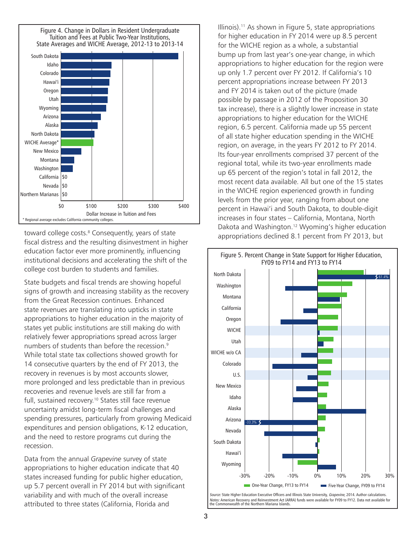

toward college costs.<sup>8</sup> Consequently, years of state fiscal distress and the resulting disinvestment in higher education factor ever more prominently, influencing institutional decisions and accelerating the shift of the college cost burden to students and families.

State budgets and fiscal trends are showing hopeful signs of growth and increasing stability as the recovery from the Great Recession continues. Enhanced state revenues are translating into upticks in state appropriations to higher education in the majority of states yet public institutions are still making do with relatively fewer appropriations spread across larger numbers of students than before the recession.<sup>9</sup> While total state tax collections showed growth for 14 consecutive quarters by the end of FY 2013, the recovery in revenues is by most accounts slower, more prolonged and less predictable than in previous recoveries and revenue levels are still far from a full, sustained recovery.<sup>10</sup> States still face revenue uncertainty amidst long-term fiscal challenges and spending pressures, particularly from growing Medicaid expenditures and pension obligations, K-12 education, and the need to restore programs cut during the recession.

Data from the annual *Grapevine* survey of state appropriations to higher education indicate that 40 states increased funding for public higher education, up 5.7 percent overall in FY 2014 but with significant variability and with much of the overall increase attributed to three states (California, Florida and

Illinois).11 As shown in Figure 5, state appropriations for higher education in FY 2014 were up 8.5 percent for the WICHE region as a whole, a substantial bump up from last year's one-year change, in which appropriations to higher education for the region were up only 1.7 percent over FY 2012. If California's 10 percent appropriations increase between FY 2013 and FY 2014 is taken out of the picture (made possible by passage in 2012 of the Proposition 30 tax increase), there is a slightly lower increase in state appropriations to higher education for the WICHE region, 6.5 percent. California made up 55 percent of all state higher education spending in the WICHE region, on average, in the years FY 2012 to FY 2014. Its four-year enrollments comprised 37 percent of the regional total, while its two-year enrollments made up 65 percent of the region's total in fall 2012, the most recent data available. All but one of the 15 states in the WICHE region experienced growth in funding levels from the prior year, ranging from about one percent in Hawai'i and South Dakota, to double-digit increases in four states – California, Montana, North Dakota and Washington.12 Wyoming's higher education appropriations declined 8.1 percent from FY 2013, but



Notes: American Recovery and Reinvestment Act (ARRA) funds were available for FY09 to FY12. Data not available for the Commonwealth of the Northern Mariana Islands.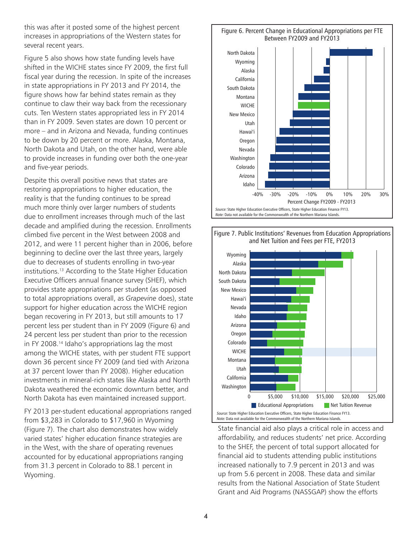this was after it posted some of the highest percent increases in appropriations of the Western states for several recent years.

Figure 5 also shows how state funding levels have shifted in the WICHE states since FY 2009, the first full fiscal year during the recession. In spite of the increases in state appropriations in FY 2013 and FY 2014, the figure shows how far behind states remain as they continue to claw their way back from the recessionary cuts. Ten Western states appropriated less in FY 2014 than in FY 2009. Seven states are down 10 percent or more – and in Arizona and Nevada, funding continues to be down by 20 percent or more. Alaska, Montana, North Dakota and Utah, on the other hand, were able to provide increases in funding over both the one-year and five-year periods.

Despite this overall positive news that states are restoring appropriations to higher education, the reality is that the funding continues to be spread much more thinly over larger numbers of students due to enrollment increases through much of the last decade and amplified during the recession. Enrollments climbed five percent in the West between 2008 and 2012, and were 11 percent higher than in 2006, before beginning to decline over the last three years, largely due to decreases of students enrolling in two-year institutions.13 According to the State Higher Education Executive Officers annual finance survey (SHEF), which provides state appropriations per student (as opposed to total appropriations overall, as *Grapevine* does), state support for higher education across the WICHE region began recovering in FY 2013, but still amounts to 17 percent less per student than in FY 2009 (Figure 6) and 24 percent less per student than prior to the recession in FY 2008.14 Idaho's appropriations lag the most among the WICHE states, with per student FTE support down 36 percent since FY 2009 (and tied with Arizona at 37 percent lower than FY 2008). Higher education investments in mineral-rich states like Alaska and North Dakota weathered the economic downturn better, and North Dakota has even maintained increased support.

FY 2013 per-student educational appropriations ranged from \$3,283 in Colorado to \$17,960 in Wyoming (Figure 7). The chart also demonstrates how widely varied states' higher education finance strategies are in the West, with the share of operating revenues accounted for by educational appropriations ranging from 31.3 percent in Colorado to 88.1 percent in Wyoming.





Figure 7. Public Institutions' Revenues from Education Appropriations and Net Tuition and Fees per FTE, FY2013

State financial aid also plays a critical role in access and affordability, and reduces students' net price. According to the SHEF, the percent of total support allocated for financial aid to students attending public institutions increased nationally to 7.9 percent in 2013 and was up from 5.6 percent in 2008. These data and similar results from the National Association of State Student Grant and Aid Programs (NASSGAP) show the efforts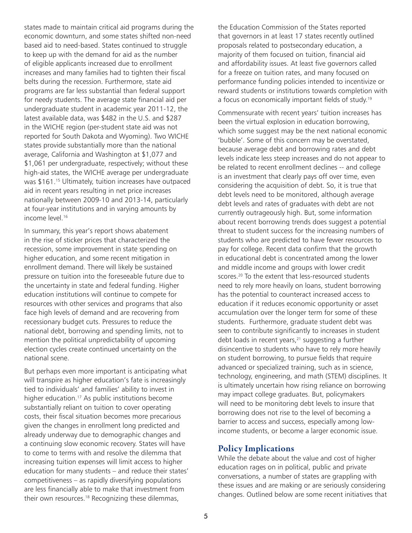states made to maintain critical aid programs during the economic downturn, and some states shifted non-need based aid to need-based. States continued to struggle to keep up with the demand for aid as the number of eligible applicants increased due to enrollment increases and many families had to tighten their fiscal belts during the recession. Furthermore, state aid programs are far less substantial than federal support for needy students. The average state financial aid per undergraduate student in academic year 2011-12, the latest available data, was \$482 in the U.S. and \$287 in the WICHE region (per-student state aid was not reported for South Dakota and Wyoming). Two WICHE states provide substantially more than the national average, California and Washington at \$1,077 and \$1,061 per undergraduate, respectively; without these high-aid states, the WICHE average per undergraduate was \$161.<sup>15</sup> Ultimately, tuition increases have outpaced aid in recent years resulting in net price increases nationally between 2009-10 and 2013-14, particularly at four-year institutions and in varying amounts by income level.<sup>16</sup>

In summary, this year's report shows abatement in the rise of sticker prices that characterized the recession, some improvement in state spending on higher education, and some recent mitigation in enrollment demand. There will likely be sustained pressure on tuition into the foreseeable future due to the uncertainty in state and federal funding. Higher education institutions will continue to compete for resources with other services and programs that also face high levels of demand and are recovering from recessionary budget cuts. Pressures to reduce the national debt, borrowing and spending limits, not to mention the political unpredictability of upcoming election cycles create continued uncertainty on the national scene.

But perhaps even more important is anticipating what will transpire as higher education's fate is increasingly tied to individuals' and families' ability to invest in higher education.<sup>17</sup> As public institutions become substantially reliant on tuition to cover operating costs, their fiscal situation becomes more precarious given the changes in enrollment long predicted and already underway due to demographic changes and a continuing slow economic recovery. States will have to come to terms with and resolve the dilemma that increasing tuition expenses will limit access to higher education for many students – and reduce their states' competitiveness – as rapidly diversifying populations are less financially able to make that investment from their own resources.18 Recognizing these dilemmas,

the Education Commission of the States reported that governors in at least 17 states recently outlined proposals related to postsecondary education, a majority of them focused on tuition, financial aid and affordability issues. At least five governors called for a freeze on tuition rates, and many focused on performance funding policies intended to incentivize or reward students or institutions towards completion with a focus on economically important fields of study.<sup>19</sup>

Commensurate with recent years' tuition increases has been the virtual explosion in education borrowing, which some suggest may be the next national economic 'bubble'. Some of this concern may be overstated, because average debt and borrowing rates and debt levels indicate less steep increases and do not appear to be related to recent enrollment declines -- and college is an investment that clearly pays off over time, even considering the acquisition of debt. So, it is true that debt levels need to be monitored, although average debt levels and rates of graduates with debt are not currently outrageously high. But, some information about recent borrowing trends does suggest a potential threat to student success for the increasing numbers of students who are predicted to have fewer resources to pay for college. Recent data confirm that the growth in educational debt is concentrated among the lower and middle income and groups with lower credit scores.<sup>20</sup> To the extent that less-resourced students need to rely more heavily on loans, student borrowing has the potential to counteract increased access to education if it reduces economic opportunity or asset accumulation over the longer term for some of these students. Furthermore, graduate student debt was seen to contribute significantly to increases in student debt loads in recent years, $21$  suggesting a further disincentive to students who have to rely more heavily on student borrowing, to pursue fields that require advanced or specialized training, such as in science, technology, engineering, and math (STEM) disciplines. It is ultimately uncertain how rising reliance on borrowing may impact college graduates. But, policymakers will need to be monitoring debt levels to insure that borrowing does not rise to the level of becoming a barrier to access and success, especially among lowincome students, or become a larger economic issue.

# Policy Implications

While the debate about the value and cost of higher education rages on in political, public and private conversations, a number of states are grappling with these issues and are making or are seriously considering changes. Outlined below are some recent initiatives that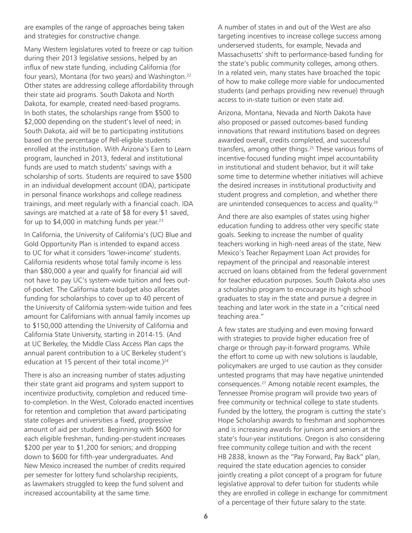are examples of the range of approaches being taken and strategies for constructive change.

Many Western legislatures voted to freeze or cap tuition during their 2013 legislative sessions, helped by an influx of new state funding, including California (for four years), Montana (for two years) and Washington.<sup>22</sup> Other states are addressing college affordability through their state aid programs. South Dakota and North Dakota, for example, created need-based programs. In both states, the scholarships range from \$500 to \$2,000 depending on the student's level of need; in South Dakota, aid will be to participating institutions based on the percentage of Pell-eligible students enrolled at the institution. With Arizona's Earn to Learn program, launched in 2013, federal and institutional funds are used to match students' savings with a scholarship of sorts. Students are required to save \$500 in an individual development account (IDA), participate in personal finance workshops and college readiness trainings, and meet regularly with a financial coach. IDA savings are matched at a rate of \$8 for every \$1 saved, for up to  $$4,000$  in matching funds per year.<sup>23</sup>

In California, the University of California's (UC) Blue and Gold Opportunity Plan is intended to expand access to UC for what it considers 'lower-income' students. California residents whose total family income is less than \$80,000 a year and qualify for financial aid will not have to pay UC's system-wide tuition and fees outof-pocket. The California state budget also allocates funding for scholarships to cover up to 40 percent of the University of California system-wide tuition and fees amount for Californians with annual family incomes up to \$150,000 attending the University of California and California State University, starting in 2014-15. (And at UC Berkeley, the Middle Class Access Plan caps the annual parent contribution to a UC Berkeley student's education at 15 percent of their total income.) $24$ 

There is also an increasing number of states adjusting their state grant aid programs and system support to incentivize productivity, completion and reduced timeto-completion. In the West, Colorado enacted incentives for retention and completion that award participating state colleges and universities a fixed, progressive amount of aid per student. Beginning with \$600 for each eligible freshman, funding-per-student increases \$200 per year to \$1,200 for seniors; and dropping down to \$600 for fifth-year undergraduates. And New Mexico increased the number of credits required per semester for lottery fund scholarship recipients, as lawmakers struggled to keep the fund solvent and increased accountability at the same time.

A number of states in and out of the West are also targeting incentives to increase college success among underserved students, for example, Nevada and Massachusetts' shift to performance-based funding for the state's public community colleges, among others. In a related vein, many states have broached the topic of how to make college more viable for undocumented students (and perhaps providing new revenue) through access to in-state tuition or even state aid.

Arizona, Montana, Nevada and North Dakota have also proposed or passed outcomes-based funding innovations that reward institutions based on degrees awarded overall, credits completed, and successful transfers, among other things.25 These various forms of incentive-focused funding might impel accountability in institutional and student behavior, but it will take some time to determine whether initiatives will achieve the desired increases in institutional productivity and student progress and completion, and whether there are unintended consequences to access and quality.<sup>26</sup>

And there are also examples of states using higher education funding to address other very specific state goals. Seeking to increase the number of quality teachers working in high-need areas of the state, New Mexico's Teacher Repayment Loan Act provides for repayment of the principal and reasonable interest accrued on loans obtained from the federal government for teacher education purposes. South Dakota also uses a scholarship program to encourage its high school graduates to stay in the state and pursue a degree in teaching and later work in the state in a "critical need teaching area."

A few states are studying and even moving forward with strategies to provide higher education free of charge or through pay-it-forward programs. While the effort to come up with new solutions is laudable, policymakers are urged to use caution as they consider untested programs that may have negative unintended consequences.27 Among notable recent examples, the Tennessee Promise program will provide two years of free community or technical college to state students. Funded by the lottery, the program is cutting the state's Hope Scholarship awards to freshman and sophomores and is increasing awards for juniors and seniors at the state's four-year institutions. Oregon is also considering free community college tuition and with the recent HB 2838, known as the "Pay Forward, Pay Back" plan, required the state education agencies to consider jointly creating a pilot concept of a program for future legislative approval to defer tuition for students while they are enrolled in college in exchange for commitment of a percentage of their future salary to the state.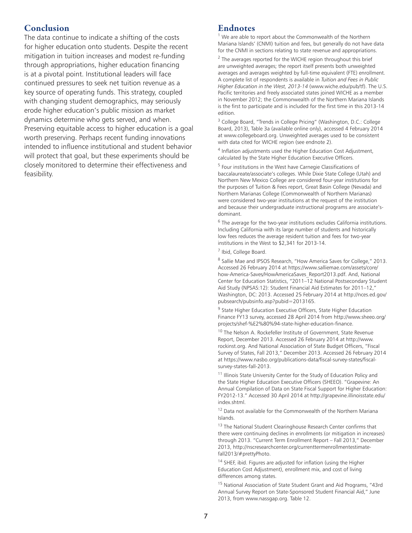# Conclusion

The data continue to indicate a shifting of the costs for higher education onto students. Despite the recent mitigation in tuition increases and modest re-funding through appropriations, higher education financing is at a pivotal point. Institutional leaders will face continued pressures to seek net tuition revenue as a key source of operating funds. This strategy, coupled with changing student demographics, may seriously erode higher education's public mission as market dynamics determine who gets served, and when. Preserving equitable access to higher education is a goal worth preserving. Perhaps recent funding innovations intended to influence institutional and student behavior will protect that goal, but these experiments should be closely monitored to determine their effectiveness and feasibility.

# Endnotes

1 We are able to report about the Commonwealth of the Northern Mariana Islands' (CNMI) tuition and fees, but generally do not have data for the CNMI in sections relating to state revenue and appropriations.

 $2$  The averages reported for the WICHE region throughout this brief are unweighted averages; the report itself presents both unweighted averages and averages weighted by full-time equivalent (FTE) enrollment. A complete list of respondents is available in *Tuition and Fees in Public Higher Education in the West, 2013-14* (www.wiche.edu/pub/tf). The U.S. Pacific territories and freely associated states joined WICHE as a member in November 2012; the Commonwealth of the Northern Mariana Islands is the first to participate and is included for the first time in this 2013-14 edition.

<sup>3</sup> College Board, "Trends in College Pricing" (Washington, D.C.: College Board, 2013), Table 3a (available online only), accessed 4 February 2014 at www.collegeboard.org. Unweighted averages used to be consistent with data cited for WICHE region (see endnote 2).

<sup>4</sup> Inflation adjustments used the Higher Education Cost Adjustment, calculated by the State Higher Education Executive Officers.

<sup>5</sup> Four institutions in the West have Carnegie Classifications of baccalaureate/associate's colleges. While Dixie State College (Utah) and Northern New Mexico College are considered four-year institutions for the purposes of Tuition & Fees report, Great Basin College (Nevada) and Northern Marianas College (Commonwealth of Northern Marianas) were considered two-year institutions at the request of the institution and because their undergraduate instructional programs are associate'sdominant.

<sup>6</sup> The average for the two-year institutions excludes California institutions. Including California with its large number of students and historically low fees reduces the average resident tuition and fees for two-year institutions in the West to \$2,341 for 2013-14.

<sup>7</sup> Ibid, College Board.

<sup>8</sup> Sallie Mae and IPSOS Research, "How America Saves for College," 2013. Accessed 26 February 2014 at https://www.salliemae.com/assets/core/ how-America-Saves/HowAmericaSaves\_Report2013.pdf. And, National Center for Education Statistics, "2011–12 National Postsecondary Student Aid Study (NPSAS:12): Student Financial Aid Estimates for 2011–12," Washington, DC: 2013. Accessed 25 February 2014 at http://nces.ed.gov/ pubsearch/pubsinfo.asp?pubid=2013165.

<sup>9</sup> State Higher Education Executive Officers, State Higher Education Finance FY13 survey, accessed 28 April 2014 from http://www.sheeo.org/ projects/shef-%E2%80%94-state-higher-education-finance.

<sup>10</sup> The Nelson A. Rockefeller Institute of Government, State Revenue Report, December 2013. Accessed 26 February 2014 at http://www. rockinst.org. And National Association of State Budget Officers, "Fiscal Survey of States, Fall 2013," December 2013. Accessed 26 February 2014 at https://www.nasbo.org/publications-data/fiscal-survey-states/fiscalsurvey-states-fall-2013.

<sup>11</sup> Illinois State University Center for the Study of Education Policy and the State Higher Education Executive Officers (SHEEO). "Grapevine: An Annual Compilation of Data on State Fiscal Support for Higher Education: FY2012-13." Accessed 30 April 2014 at http://grapevine.illinoisstate.edu/ index.shtml.

 $12$  Data not available for the Commonwealth of the Northern Mariana Islands.

 $^{13}$  The National Student Clearinghouse Research Center confirms that there were continuing declines in enrollments (or mitigation in increases) through 2013. "Current Term Enrollment Report – Fall 2013," December 2013, http://nscresearchcenter.org/currenttermenrollmentestimatefall2013/#prettyPhoto.

14 SHEF, ibid. Figures are adjusted for inflation (using the Higher Education Cost Adjustment), enrollment mix, and cost of living differences among states.

<sup>15</sup> National Association of State Student Grant and Aid Programs, "43rd Annual Survey Report on State-Sponsored Student Financial Aid," June 2013, from www.nassgap.org. Table 12.